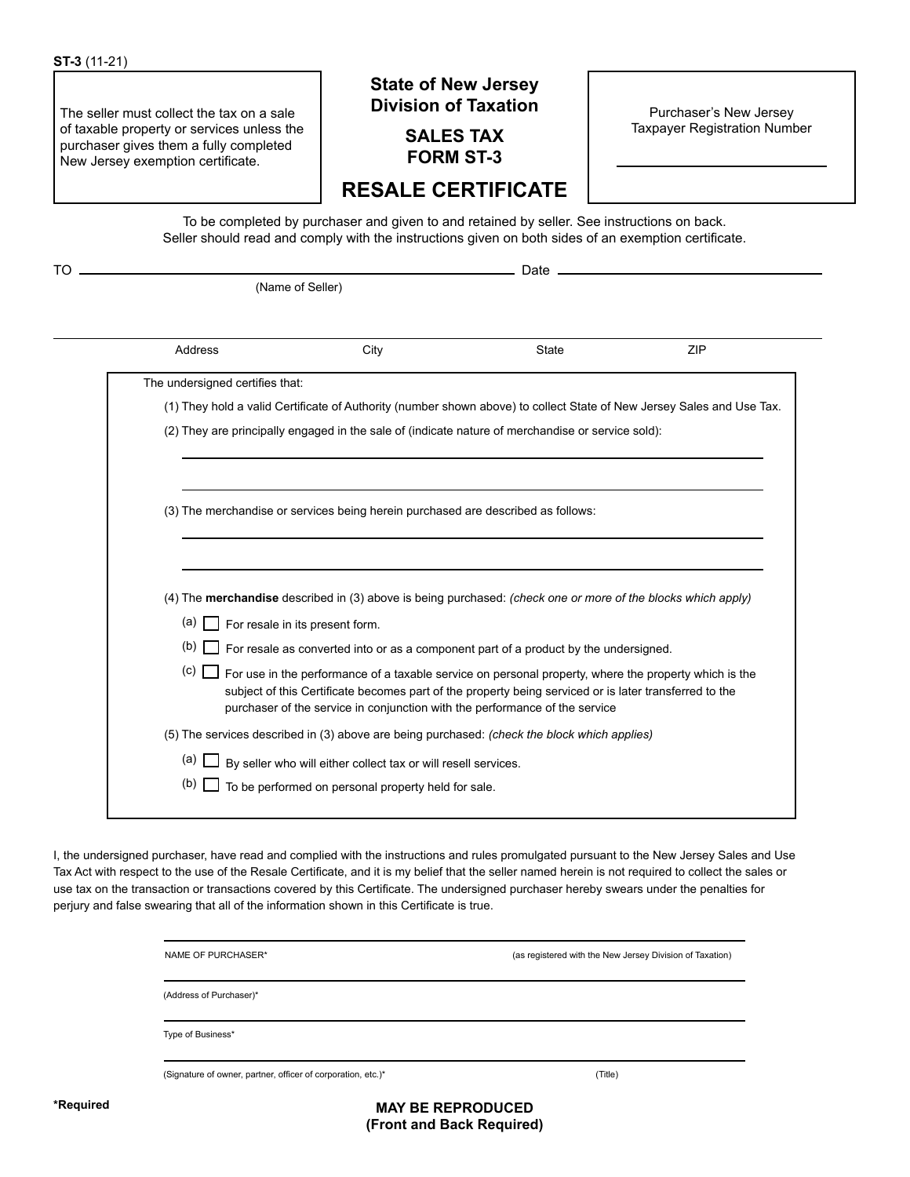The seller must collect the tax on a sale of taxable property or services unless the purchaser gives them a fully completed New Jersey exemption certificate.

## **State of New Jersey Division of Taxation**

**SALES TAX FORM ST-3**

Purchaser's New Jersey Taxpayer Registration Number

# **RESALE CERTIFICATE**

To be completed by purchaser and given to and retained by seller. See instructions on back. Seller should read and comply with the instructions given on both sides of an exemption certificate.

TO Date

(Name of Seller)

| Address                                      | City                                                                                                                                                                                                                                                                                           | <b>State</b> | <b>ZIP</b> |
|----------------------------------------------|------------------------------------------------------------------------------------------------------------------------------------------------------------------------------------------------------------------------------------------------------------------------------------------------|--------------|------------|
| The undersigned certifies that:              |                                                                                                                                                                                                                                                                                                |              |            |
|                                              | (1) They hold a valid Certificate of Authority (number shown above) to collect State of New Jersey Sales and Use Tax.                                                                                                                                                                          |              |            |
|                                              | (2) They are principally engaged in the sale of (indicate nature of merchandise or service sold):                                                                                                                                                                                              |              |            |
|                                              |                                                                                                                                                                                                                                                                                                |              |            |
|                                              | (3) The merchandise or services being herein purchased are described as follows:                                                                                                                                                                                                               |              |            |
|                                              |                                                                                                                                                                                                                                                                                                |              |            |
|                                              |                                                                                                                                                                                                                                                                                                |              |            |
|                                              | (4) The <b>merchandise</b> described in (3) above is being purchased: (check one or more of the blocks which apply)                                                                                                                                                                            |              |            |
| $(a)$ $\Box$ For resale in its present form. |                                                                                                                                                                                                                                                                                                |              |            |
| $(b)$                                        | For resale as converted into or as a component part of a product by the undersigned.                                                                                                                                                                                                           |              |            |
| (c)                                          | For use in the performance of a taxable service on personal property, where the property which is the<br>subject of this Certificate becomes part of the property being serviced or is later transferred to the<br>purchaser of the service in conjunction with the performance of the service |              |            |
|                                              | (5) The services described in (3) above are being purchased: (check the block which applies)                                                                                                                                                                                                   |              |            |
| $(a)$                                        | By seller who will either collect tax or will resell services.                                                                                                                                                                                                                                 |              |            |

I, the undersigned purchaser, have read and complied with the instructions and rules promulgated pursuant to the New Jersey Sales and Use Tax Act with respect to the use of the Resale Certificate, and it is my belief that the seller named herein is not required to collect the sales or use tax on the transaction or transactions covered by this Certificate. The undersigned purchaser hereby swears under the penalties for perjury and false swearing that all of the information shown in this Certificate is true.

| NAME OF PURCHASER*                                           | (as registered with the New Jersey Division of Taxation) |
|--------------------------------------------------------------|----------------------------------------------------------|
| (Address of Purchaser)*                                      |                                                          |
| Type of Business*                                            |                                                          |
| (Signature of owner, partner, officer of corporation, etc.)* | (Title)                                                  |